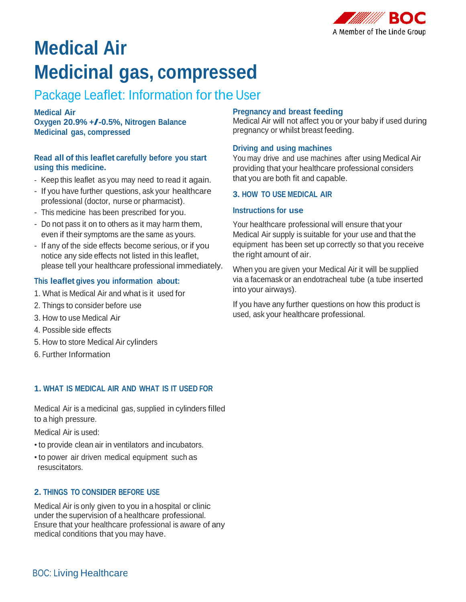

# **Medical Air Medicinal gas, compressed**

# Package Leaflet: Information for the User

**Medical Air Oxygen 20.9% +/-0.5%, Nitrogen Balance Medicinal gas, compressed**

# **Read all of this leaflet carefully before you start using this medicine.**

- Keep this leaflet as you may need to read it again.
- If you have further questions, ask your healthcare professional (doctor, nurse or pharmacist).
- This medicine has been prescribed for you.
- Do not pass it on to others as it may harm them, even if their symptoms are the same as yours.
- If any of the side effects become serious, or if you notice any side effects not listed in this leaflet, please tell your healthcare professional immediately.

# **This leaflet gives you information about:**

- 1. What is Medical Air and what is it used for
- 2. Things to consider before use
- 3. How to use Medical Air
- 4. Possible side effects
- 5. How to store Medical Air cylinders
- 6. Further Information

# **1. WHAT IS MEDICAL AIR AND WHAT IS IT USED FOR**

Medical Air is a medicinal gas, supplied in cylinders filled to a high pressure.

Medical Air is used:

- •to provide clean air in ventilators and incubators.
- •to power air driven medical equipment such as resuscitators.

# **2. THINGS TO CONSIDER BEFORE USE**

Medical Air is only given to you in a hospital or clinic under the supervision of a healthcare professional. Ensure that your healthcare professional is aware of any medical conditions that you may have.

# **Pregnancy and breast feeding**

Medical Air will not affect you or your baby if used during pregnancy or whilst breast feeding.

## **Driving and using machines**

You may drive and use machines after using Medical Air providing that your healthcare professional considers that you are both fit and capable.

# **3. HOW TO USE MEDICAL AIR**

## **Instructions for use**

Your healthcare professional will ensure that your Medical Air supply is suitable for your use and that the equipment has been set up correctly so that you receive the right amount of air.

When you are given your Medical Air it will be supplied via a facemask or an endotracheal tube (a tube inserted into your airways).

If you have any further questions on how this product is used, ask your healthcare professional.